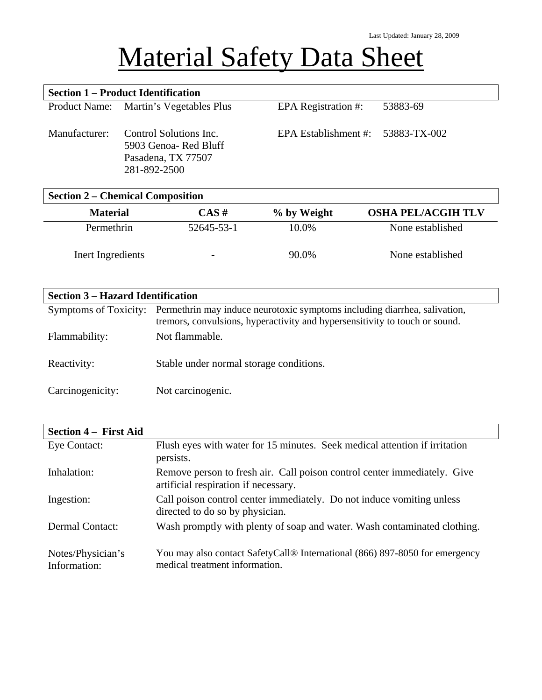## Material Safety Data Sheet

| <b>Section 1 – Product Identification</b> |                                                                                       |                      |                                |
|-------------------------------------------|---------------------------------------------------------------------------------------|----------------------|--------------------------------|
|                                           | Product Name: Martin's Vegetables Plus                                                | EPA Registration #:  | 53883-69                       |
| Manufacturer:                             | Control Solutions Inc.<br>5903 Genoa- Red Bluff<br>Pasadena, TX 77507<br>281-892-2500 | EPA Establishment #: | 53883-TX-002                   |
|                                           | <b>Section 2 – Chemical Composition</b>                                               |                      |                                |
| $M_{\odot}$ form $\ddot{\circ}$           | $\Gamma$ and $\Gamma$                                                                 | $0/$ L. Walsh        | ACILA DEL <i>IA CA</i> ILLAL V |

| <b>Material</b>   | $CAS \#$                 | % by Weight | <b>OSHA PEL/ACGIH TLV</b> |
|-------------------|--------------------------|-------------|---------------------------|
| Permethrin        | 52645-53-1               | 10.0%       | None established          |
| Inert Ingredients | $\overline{\phantom{0}}$ | 90.0%       | None established          |

## **Section 3 – Hazard Identification**

|                  | Symptoms of Toxicity: Permethrin may induce neurotoxic symptoms including diarrhea, salivation,<br>tremors, convulsions, hyperactivity and hypersensitivity to touch or sound. |
|------------------|--------------------------------------------------------------------------------------------------------------------------------------------------------------------------------|
| Flammability:    | Not flammable.                                                                                                                                                                 |
| Reactivity:      | Stable under normal storage conditions.                                                                                                                                        |
| Carcinogenicity: | Not carcinogenic.                                                                                                                                                              |

| <b>Section 4 – First Aid</b>      |                                                                                                                           |
|-----------------------------------|---------------------------------------------------------------------------------------------------------------------------|
| Eye Contact:                      | Flush eyes with water for 15 minutes. Seek medical attention if irritation<br>persists.                                   |
| Inhalation:                       | Remove person to fresh air. Call poison control center immediately. Give<br>artificial respiration if necessary.          |
| Ingestion:                        | Call poison control center immediately. Do not induce vomiting unless<br>directed to do so by physician.                  |
| <b>Dermal Contact:</b>            | Wash promptly with plenty of soap and water. Wash contaminated clothing.                                                  |
| Notes/Physician's<br>Information: | You may also contact SafetyCall <sup>®</sup> International (866) 897-8050 for emergency<br>medical treatment information. |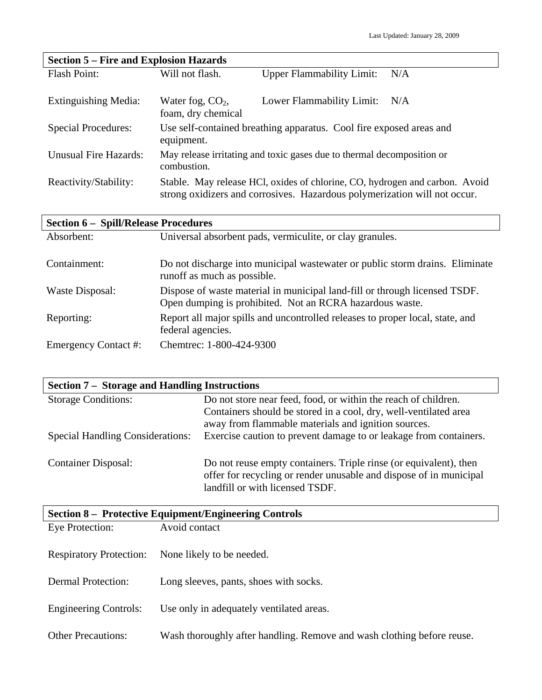| <b>Section 5 – Fire and Explosion Hazards</b> |                                          |                                                                                                                                                          |
|-----------------------------------------------|------------------------------------------|----------------------------------------------------------------------------------------------------------------------------------------------------------|
| Flash Point:                                  | Will not flash.                          | <b>Upper Flammability Limit:</b><br>N/A                                                                                                                  |
| <b>Extinguishing Media:</b>                   | Water fog, $CO2$ ,<br>foam, dry chemical | Lower Flammability Limit:<br>N/A                                                                                                                         |
| <b>Special Procedures:</b>                    | equipment.                               | Use self-contained breathing apparatus. Cool fire exposed areas and                                                                                      |
| <b>Unusual Fire Hazards:</b>                  | combustion.                              | May release irritating and toxic gases due to thermal decomposition or                                                                                   |
| Reactivity/Stability:                         |                                          | Stable. May release HCl, oxides of chlorine, CO, hydrogen and carbon. Avoid<br>strong oxidizers and corrosives. Hazardous polymerization will not occur. |

| <b>Section 6 - Spill/Release Procedures</b> |                                                                                                                                        |  |
|---------------------------------------------|----------------------------------------------------------------------------------------------------------------------------------------|--|
| Absorbent:                                  | Universal absorbent pads, vermiculite, or clay granules.                                                                               |  |
| Containment:                                | Do not discharge into municipal was tewater or public storm drains. Eliminate<br>runoff as much as possible.                           |  |
| Waste Disposal:                             | Dispose of waste material in municipal land-fill or through licensed TSDF.<br>Open dumping is prohibited. Not an RCRA hazardous waste. |  |
| Reporting:                                  | Report all major spills and uncontrolled releases to proper local, state, and<br>federal agencies.                                     |  |
| Emergency Contact #:                        | Chemtrec: 1-800-424-9300                                                                                                               |  |

| <b>Section 7 – Storage and Handling Instructions</b> |                                                                                                                                                                            |  |
|------------------------------------------------------|----------------------------------------------------------------------------------------------------------------------------------------------------------------------------|--|
| <b>Storage Conditions:</b>                           | Do not store near feed, food, or within the reach of children.                                                                                                             |  |
|                                                      | Containers should be stored in a cool, dry, well-ventilated area                                                                                                           |  |
|                                                      | away from flammable materials and ignition sources.                                                                                                                        |  |
| <b>Special Handling Considerations:</b>              | Exercise caution to prevent damage to or leakage from containers.                                                                                                          |  |
| <b>Container Disposal:</b>                           | Do not reuse empty containers. Triple rinse (or equivalent), then<br>offer for recycling or render unusable and dispose of in municipal<br>landfill or with licensed TSDF. |  |

| <b>Section 8 – Protective Equipment/Engineering Controls</b> |                                                                        |  |
|--------------------------------------------------------------|------------------------------------------------------------------------|--|
| Eye Protection:                                              | Avoid contact                                                          |  |
| <b>Respiratory Protection:</b>                               | None likely to be needed.                                              |  |
| <b>Dermal Protection:</b>                                    | Long sleeves, pants, shoes with socks.                                 |  |
| <b>Engineering Controls:</b>                                 | Use only in adequately ventilated areas.                               |  |
| <b>Other Precautions:</b>                                    | Wash thoroughly after handling. Remove and wash clothing before reuse. |  |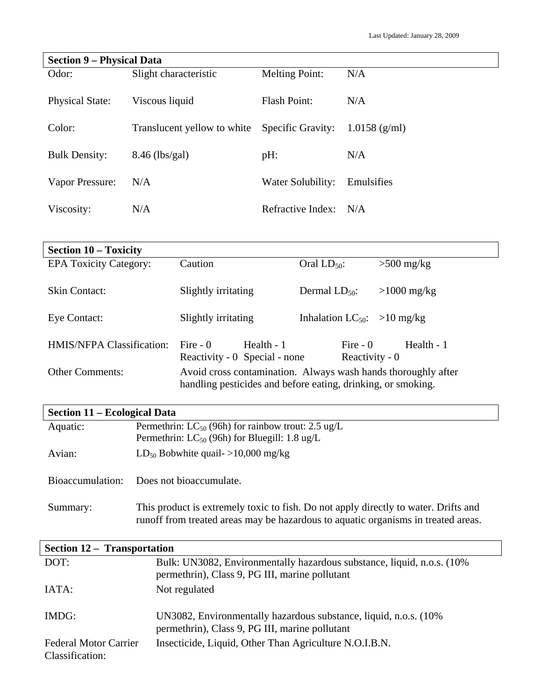| <b>Section 9 – Physical Data</b> |                             |                          |                 |
|----------------------------------|-----------------------------|--------------------------|-----------------|
| Odor:                            | Slight characteristic       | <b>Melting Point:</b>    | N/A             |
| <b>Physical State:</b>           | Viscous liquid              | <b>Flash Point:</b>      | N/A             |
| Color:                           | Translucent yellow to white | <b>Specific Gravity:</b> | $1.0158$ (g/ml) |
| <b>Bulk Density:</b>             | $8.46$ (lbs/gal)            | pH:                      | N/A             |
| Vapor Pressure:                  | N/A                         | Water Solubility:        | Emulsifies      |
| Viscosity:                       | N/A                         | Refractive Index:        | N/A             |

| <b>Section 10 – Toxicity</b>  |                                                                                                                               |                                  |               |
|-------------------------------|-------------------------------------------------------------------------------------------------------------------------------|----------------------------------|---------------|
| <b>EPA Toxicity Category:</b> | Caution                                                                                                                       | Oral $LD_{50}$ :                 | $>500$ mg/kg  |
| Skin Contact:                 | Slightly irritating                                                                                                           | Dermal $LD_{50}$ :               | $>1000$ mg/kg |
| Eye Contact:                  | Slightly irritating                                                                                                           | Inhalation $LC_{50}$ : >10 mg/kg |               |
| HMIS/NFPA Classification:     | Fire $-0$<br>Health - 1<br>Reactivity - 0 Special - none                                                                      | Fire $-0$<br>Reactivity - 0      | Health - 1    |
| <b>Other Comments:</b>        | Avoid cross contamination. Always wash hands thoroughly after<br>handling pesticides and before eating, drinking, or smoking. |                                  |               |

## **Section 11 – Ecological Data**

| Aquatic: | Permethrin: $LC_{50}$ (96h) for rainbow trout: 2.5 ug/L<br>Permethrin: $LC_{50}$ (96h) for Bluegill: 1.8 ug/L |
|----------|---------------------------------------------------------------------------------------------------------------|
| Avian:   | $LD_{50}$ Bobwhite quail- $>10,000$ mg/kg                                                                     |
|          | Bioaccumulation: Does not bioaccumulate.                                                                      |
| Summary: | This product is extremely toxic to fish Do not apply directly to water Drifts and                             |

| Summary: | This product is extremely toxic to fish. Do not apply directly to water. Drifts and |
|----------|-------------------------------------------------------------------------------------|
|          | runoff from treated areas may be hazardous to aquatic organisms in treated areas.   |

| Section 12 – Transportation                     |                                                                                                                           |
|-------------------------------------------------|---------------------------------------------------------------------------------------------------------------------------|
| DOT:                                            | Bulk: UN3082, Environmentally hazardous substance, liquid, n.o.s. (10%)<br>permethrin), Class 9, PG III, marine pollutant |
| IATA:                                           | Not regulated                                                                                                             |
| IMDG:                                           | UN3082, Environmentally hazardous substance, liquid, n.o.s. (10%)<br>permethrin), Class 9, PG III, marine pollutant       |
| <b>Federal Motor Carrier</b><br>Classification: | Insecticide, Liquid, Other Than Agriculture N.O.I.B.N.                                                                    |